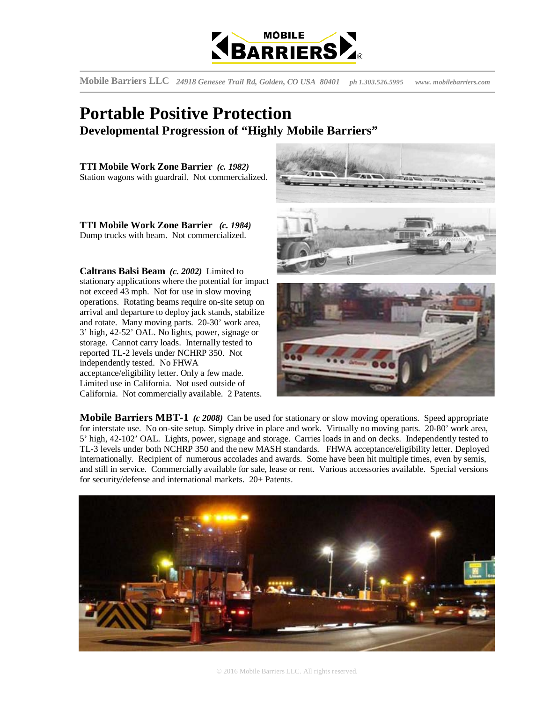

**Mobile Barriers LLC** *24918 Genesee Trail Rd, Golden, CO USA 80401**ph 1.303.526.5995 www. mobilebarriers.com*

## **Portable Positive Protection Developmental Progression of "Highly Mobile Barriers"**

**TTI Mobile Work Zone Barrier** *(c. 1982)* Station wagons with guardrail. Not commercialized.

**TTI Mobile Work Zone Barrier** *(c. 1984)*  Dump trucks with beam. Not commercialized.

**Caltrans Balsi Beam** *(c. 2002)* Limited to stationary applications where the potential for impact not exceed 43 mph. Not for use in slow moving operations. Rotating beams require on-site setup on arrival and departure to deploy jack stands, stabilize and rotate. Many moving parts. 20-30' work area, 3' high, 42-52' OAL. No lights, power, signage or storage. Cannot carry loads. Internally tested to reported TL-2 levels under NCHRP 350. Not independently tested. No FHWA acceptance/eligibility letter. Only a few made. Limited use in California. Not used outside of California. Not commercially available. 2 Patents.



**Mobile Barriers MBT-1** *(c 2008)* Can be used for stationary or slow moving operations. Speed appropriate for interstate use. No on-site setup. Simply drive in place and work. Virtually no moving parts. 20-80' work area, 5' high, 42-102' OAL. Lights, power, signage and storage. Carries loads in and on decks. Independently tested to TL-3 levels under both NCHRP 350 and the new MASH standards. FHWA acceptance/eligibility letter. Deployed internationally. Recipient of numerous accolades and awards. Some have been hit multiple times, even by semis, and still in service. Commercially available for sale, lease or rent. Various accessories available. Special versions for security/defense and international markets. 20+ Patents.